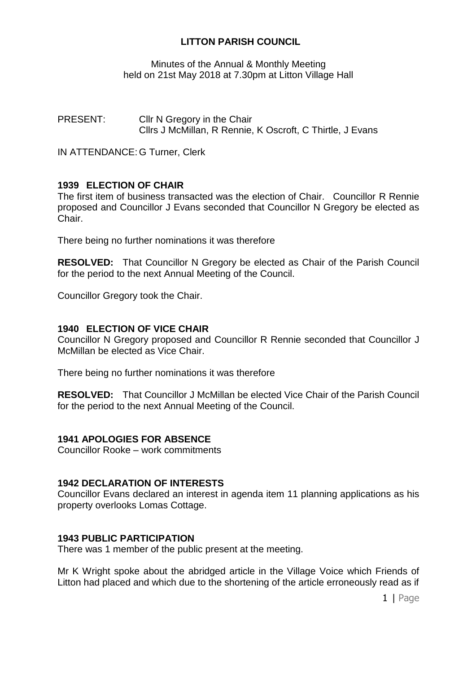# **LITTON PARISH COUNCIL**

Minutes of the Annual & Monthly Meeting held on 21st May 2018 at 7.30pm at Litton Village Hall

PRESENT: Cllr N Gregory in the Chair Cllrs J McMillan, R Rennie, K Oscroft, C Thirtle, J Evans

IN ATTENDANCE: G Turner, Clerk

# **1939 ELECTION OF CHAIR**

The first item of business transacted was the election of Chair. Councillor R Rennie proposed and Councillor J Evans seconded that Councillor N Gregory be elected as Chair.

There being no further nominations it was therefore

**RESOLVED:** That Councillor N Gregory be elected as Chair of the Parish Council for the period to the next Annual Meeting of the Council.

Councillor Gregory took the Chair.

## **1940 ELECTION OF VICE CHAIR**

Councillor N Gregory proposed and Councillor R Rennie seconded that Councillor J McMillan be elected as Vice Chair.

There being no further nominations it was therefore

**RESOLVED:** That Councillor J McMillan be elected Vice Chair of the Parish Council for the period to the next Annual Meeting of the Council.

## **1941 APOLOGIES FOR ABSENCE**

Councillor Rooke – work commitments

#### **1942 DECLARATION OF INTERESTS**

Councillor Evans declared an interest in agenda item 11 planning applications as his property overlooks Lomas Cottage.

## **1943 PUBLIC PARTICIPATION**

There was 1 member of the public present at the meeting.

Mr K Wright spoke about the abridged article in the Village Voice which Friends of Litton had placed and which due to the shortening of the article erroneously read as if

1 | Page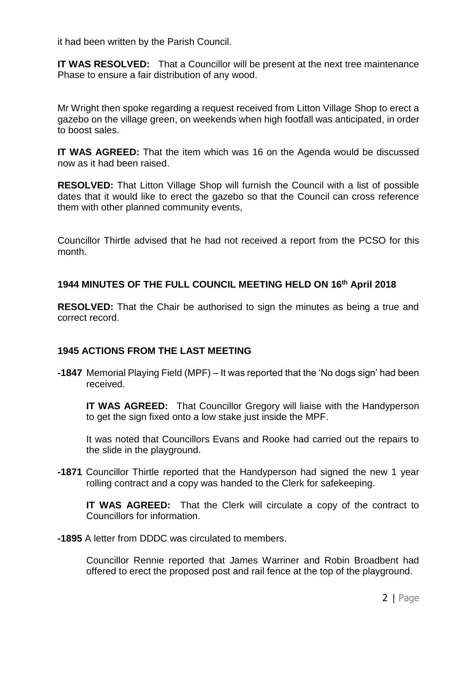it had been written by the Parish Council.

**IT WAS RESOLVED:** That a Councillor will be present at the next tree maintenance Phase to ensure a fair distribution of any wood.

Mr Wright then spoke regarding a request received from Litton Village Shop to erect a gazebo on the village green, on weekends when high footfall was anticipated, in order to boost sales.

**IT WAS AGREED:** That the item which was 16 on the Agenda would be discussed now as it had been raised.

**RESOLVED:** That Litton Village Shop will furnish the Council with a list of possible dates that it would like to erect the gazebo so that the Council can cross reference them with other planned community events,

Councillor Thirtle advised that he had not received a report from the PCSO for this month.

# **1944 MINUTES OF THE FULL COUNCIL MEETING HELD ON 16th April 2018**

**RESOLVED:** That the Chair be authorised to sign the minutes as being a true and correct record.

## **1945 ACTIONS FROM THE LAST MEETING**

**-1847** Memorial Playing Field (MPF) – It was reported that the 'No dogs sign' had been received.

**IT WAS AGREED:** That Councillor Gregory will liaise with the Handyperson to get the sign fixed onto a low stake just inside the MPF.

It was noted that Councillors Evans and Rooke had carried out the repairs to the slide in the playground.

**-1871** Councillor Thirtle reported that the Handyperson had signed the new 1 year rolling contract and a copy was handed to the Clerk for safekeeping.

**IT WAS AGREED:** That the Clerk will circulate a copy of the contract to Councillors for information.

**-1895** A letter from DDDC was circulated to members.

Councillor Rennie reported that James Warriner and Robin Broadbent had offered to erect the proposed post and rail fence at the top of the playground.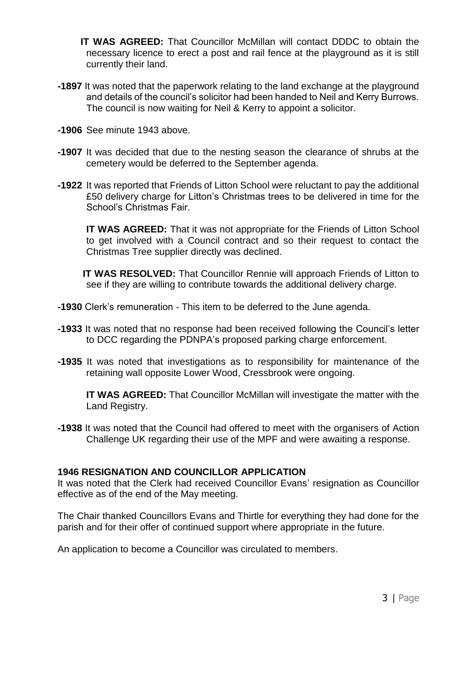- **IT WAS AGREED:** That Councillor McMillan will contact DDDC to obtain the necessary licence to erect a post and rail fence at the playground as it is still currently their land.
- **-1897** It was noted that the paperwork relating to the land exchange at the playground and details of the council's solicitor had been handed to Neil and Kerry Burrows. The council is now waiting for Neil & Kerry to appoint a solicitor.
- **-1906** See minute 1943 above.
- **-1907** It was decided that due to the nesting season the clearance of shrubs at the cemetery would be deferred to the September agenda.
- **-1922** It was reported that Friends of Litton School were reluctant to pay the additional £50 delivery charge for Litton's Christmas trees to be delivered in time for the School's Christmas Fair.

**IT WAS AGREED:** That it was not appropriate for the Friends of Litton School to get involved with a Council contract and so their request to contact the Christmas Tree supplier directly was declined.

 **IT WAS RESOLVED:** That Councillor Rennie will approach Friends of Litton to see if they are willing to contribute towards the additional delivery charge.

- **-1930** Clerk's remuneration This item to be deferred to the June agenda.
- **-1933** It was noted that no response had been received following the Council's letter to DCC regarding the PDNPA's proposed parking charge enforcement.
- **-1935** It was noted that investigations as to responsibility for maintenance of the retaining wall opposite Lower Wood, Cressbrook were ongoing.

**IT WAS AGREED:** That Councillor McMillan will investigate the matter with the Land Registry.

**-1938** It was noted that the Council had offered to meet with the organisers of Action Challenge UK regarding their use of the MPF and were awaiting a response.

## **1946 RESIGNATION AND COUNCILLOR APPLICATION**

It was noted that the Clerk had received Councillor Evans' resignation as Councillor effective as of the end of the May meeting.

The Chair thanked Councillors Evans and Thirtle for everything they had done for the parish and for their offer of continued support where appropriate in the future.

An application to become a Councillor was circulated to members.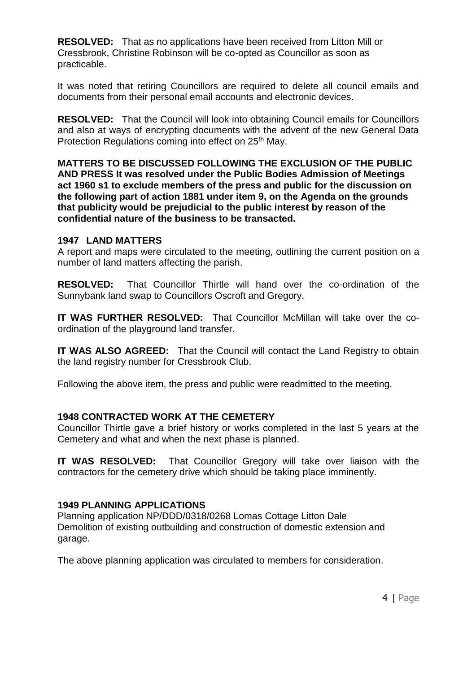**RESOLVED:** That as no applications have been received from Litton Mill or Cressbrook, Christine Robinson will be co-opted as Councillor as soon as practicable.

It was noted that retiring Councillors are required to delete all council emails and documents from their personal email accounts and electronic devices.

**RESOLVED:** That the Council will look into obtaining Council emails for Councillors and also at ways of encrypting documents with the advent of the new General Data Protection Regulations coming into effect on 25<sup>th</sup> May.

**MATTERS TO BE DISCUSSED FOLLOWING THE EXCLUSION OF THE PUBLIC AND PRESS It was resolved under the Public Bodies Admission of Meetings act 1960 s1 to exclude members of the press and public for the discussion on the following part of action 1881 under item 9, on the Agenda on the grounds that publicity would be prejudicial to the public interest by reason of the confidential nature of the business to be transacted.**

#### **1947 LAND MATTERS**

A report and maps were circulated to the meeting, outlining the current position on a number of land matters affecting the parish.

**RESOLVED:** That Councillor Thirtle will hand over the co-ordination of the Sunnybank land swap to Councillors Oscroft and Gregory.

**IT WAS FURTHER RESOLVED:** That Councillor McMillan will take over the coordination of the playground land transfer.

**IT WAS ALSO AGREED:** That the Council will contact the Land Registry to obtain the land registry number for Cressbrook Club.

Following the above item, the press and public were readmitted to the meeting.

## **1948 CONTRACTED WORK AT THE CEMETERY**

Councillor Thirtle gave a brief history or works completed in the last 5 years at the Cemetery and what and when the next phase is planned.

**IT WAS RESOLVED:** That Councillor Gregory will take over liaison with the contractors for the cemetery drive which should be taking place imminently.

#### **1949 PLANNING APPLICATIONS**

Planning application NP/DDD/0318/0268 Lomas Cottage Litton Dale Demolition of existing outbuilding and construction of domestic extension and garage.

The above planning application was circulated to members for consideration.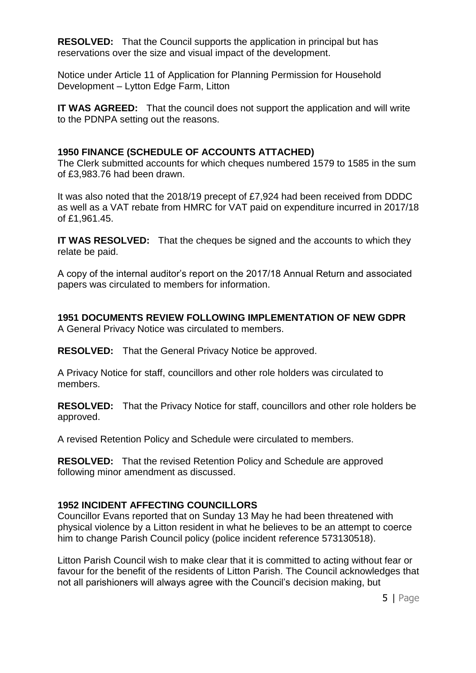**RESOLVED:** That the Council supports the application in principal but has reservations over the size and visual impact of the development.

Notice under Article 11 of Application for Planning Permission for Household Development – Lytton Edge Farm, Litton

**IT WAS AGREED:** That the council does not support the application and will write to the PDNPA setting out the reasons.

## **1950 FINANCE (SCHEDULE OF ACCOUNTS ATTACHED)**

The Clerk submitted accounts for which cheques numbered 1579 to 1585 in the sum of £3,983.76 had been drawn.

It was also noted that the 2018/19 precept of £7,924 had been received from DDDC as well as a VAT rebate from HMRC for VAT paid on expenditure incurred in 2017/18 of £1,961.45.

**IT WAS RESOLVED:** That the cheques be signed and the accounts to which they relate be paid.

A copy of the internal auditor's report on the 2017/18 Annual Return and associated papers was circulated to members for information.

**1951 DOCUMENTS REVIEW FOLLOWING IMPLEMENTATION OF NEW GDPR**  A General Privacy Notice was circulated to members.

**RESOLVED:** That the General Privacy Notice be approved.

A Privacy Notice for staff, councillors and other role holders was circulated to members.

**RESOLVED:** That the Privacy Notice for staff, councillors and other role holders be approved.

A revised Retention Policy and Schedule were circulated to members.

**RESOLVED:** That the revised Retention Policy and Schedule are approved following minor amendment as discussed.

# **1952 INCIDENT AFFECTING COUNCILLORS**

Councillor Evans reported that on Sunday 13 May he had been threatened with physical violence by a Litton resident in what he believes to be an attempt to coerce him to change Parish Council policy (police incident reference 573130518).

Litton Parish Council wish to make clear that it is committed to acting without fear or favour for the benefit of the residents of Litton Parish. The Council acknowledges that not all parishioners will always agree with the Council's decision making, but